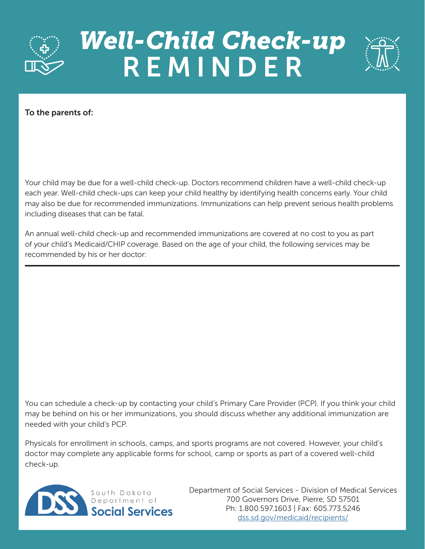

## *Well-Child Check-up*  REMINDER



To the parents of:

Your child may be due for a well-child check-up. Doctors recommend children have a well-child check-up each year. Well-child check-ups can keep your child healthy by identifying health concerns early. Your child may also be due for recommended immunizations. Immunizations can help prevent serious health problems including diseases that can be fatal.

An annual well-child check-up and recommended immunizations are covered at no cost to you as part of your child's Medicaid/CHIP coverage. Based on the age of your child, the following services may be recommended by his or her doctor:

You can schedule a check-up by contacting your child's Primary Care Provider (PCP). If you think your child may be behind on his or her immunizations, you should discuss whether any additional immunization are needed with your child's PCP.

Physicals for enrollment in schools, camps, and sports programs are not covered. However, your child's doctor may complete any applicable forms for school, camp or sports as part of a covered well-child check-up.



Department of Social Services - Division of Medical Services 700 Governors Drive, Pierre, SD 57501 Ph: 1.800.597.1603 | Fax: 605.773.5246 [dss.sd.gov/medicaid/recipients/](https://dss.sd.gov/medicaid/recipients/)